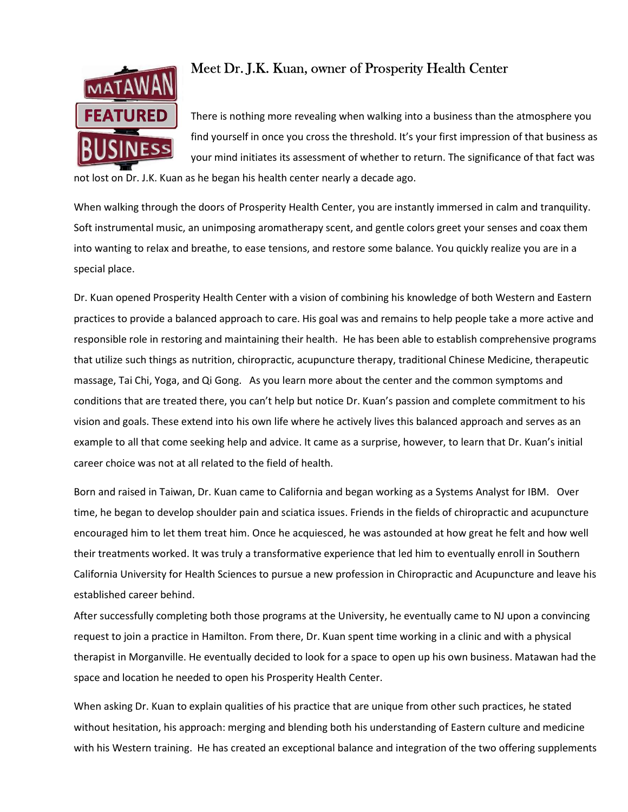

## Meet Dr. J.K. Kuan, owner of Prosperity Health Center

There is nothing more revealing when walking into a business than the atmosphere you find yourself in once you cross the threshold. It's your first impression of that business as your mind initiates its assessment of whether to return. The significance of that fact was

not lost on Dr. J.K. Kuan as he began his health center nearly a decade ago.

When walking through the doors of Prosperity Health Center, you are instantly immersed in calm and tranquility. Soft instrumental music, an unimposing aromatherapy scent, and gentle colors greet your senses and coax them into wanting to relax and breathe, to ease tensions, and restore some balance. You quickly realize you are in a special place.

Dr. Kuan opened Prosperity Health Center with a vision of combining his knowledge of both Western and Eastern practices to provide a balanced approach to care. His goal was and remains to help people take a more active and responsible role in restoring and maintaining their health. He has been able to establish comprehensive programs that utilize such things as nutrition, chiropractic, acupuncture therapy, traditional Chinese Medicine, therapeutic massage, Tai Chi, Yoga, and Qi Gong. As you learn more about the center and the common symptoms and conditions that are treated there, you can't help but notice Dr. Kuan's passion and complete commitment to his vision and goals. These extend into his own life where he actively lives this balanced approach and serves as an example to all that come seeking help and advice. It came as a surprise, however, to learn that Dr. Kuan's initial career choice was not at all related to the field of health.

Born and raised in Taiwan, Dr. Kuan came to California and began working as a Systems Analyst for IBM. Over time, he began to develop shoulder pain and sciatica issues. Friends in the fields of chiropractic and acupuncture encouraged him to let them treat him. Once he acquiesced, he was astounded at how great he felt and how well their treatments worked. It was truly a transformative experience that led him to eventually enroll in Southern California University for Health Sciences to pursue a new profession in Chiropractic and Acupuncture and leave his established career behind.

After successfully completing both those programs at the University, he eventually came to NJ upon a convincing request to join a practice in Hamilton. From there, Dr. Kuan spent time working in a clinic and with a physical therapist in Morganville. He eventually decided to look for a space to open up his own business. Matawan had the space and location he needed to open his Prosperity Health Center.

When asking Dr. Kuan to explain qualities of his practice that are unique from other such practices, he stated without hesitation, his approach: merging and blending both his understanding of Eastern culture and medicine with his Western training. He has created an exceptional balance and integration of the two offering supplements